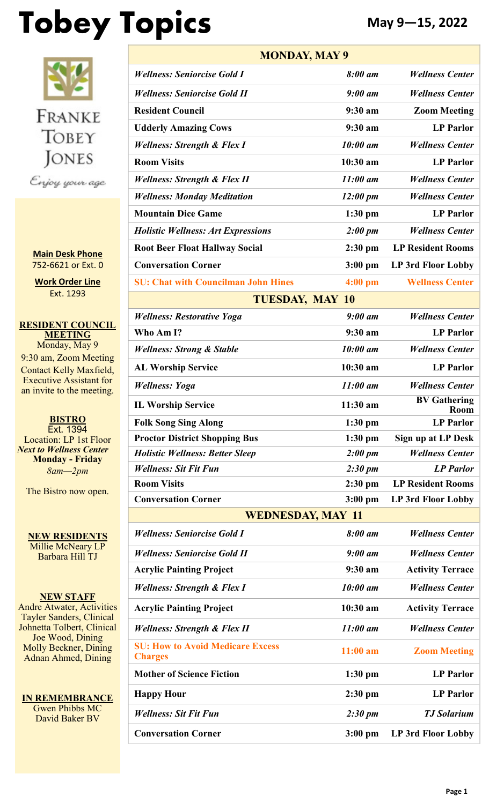# Tobey Topics **May 9–15, 2022**



**Main Desk Phone** 752-6621 or Ext. 0

**Work Order Line** Ext. 1293

**RESIDENT COUNCIL MEETING** Monday, May 9 9:30 am, Zoom Meeting Contact Kelly Maxfield, Executive Assistant for an invite to the meeting.

**BISTRO** Ext. 1394 Location: LP 1st Floor *Next to Wellness Center* **Monday - Friday** *8am—2pm*

The Bistro now open.

**NEW RESIDENTS** Millie McNeary LP Barbara Hill TJ

**NEW STAFF** Andre Atwater, Activities Tayler Sanders, Clinical Johnetta Tolbert, Clinical Joe Wood, Dining Molly Beckner, Dining Adnan Ahmed, Dining

**IN REMEMBRANCE** Gwen Phibbs MC David Baker BV

| <b>MONDAY, MAY 9</b>                                      |                    |                             |  |  |  |
|-----------------------------------------------------------|--------------------|-----------------------------|--|--|--|
| <b>Wellness: Seniorcise Gold I</b>                        | 8:00 am            | <b>Wellness Center</b>      |  |  |  |
| <b>Wellness: Seniorcise Gold II</b>                       | $9:00$ am          | <b>Wellness Center</b>      |  |  |  |
| <b>Resident Council</b>                                   | 9:30 am            | <b>Zoom Meeting</b>         |  |  |  |
| <b>Udderly Amazing Cows</b>                               | 9:30 am            | <b>LP</b> Parlor            |  |  |  |
| <b>Wellness: Strength &amp; Flex I</b>                    | 10:00 am           | <b>Wellness Center</b>      |  |  |  |
| <b>Room Visits</b>                                        | 10:30 am           | <b>LP</b> Parlor            |  |  |  |
| <b>Wellness: Strength &amp; Flex II</b>                   | $11:00$ am         | <b>Wellness Center</b>      |  |  |  |
| <b>Wellness: Monday Meditation</b>                        | $12:00 \text{ pm}$ | <b>Wellness Center</b>      |  |  |  |
| <b>Mountain Dice Game</b>                                 | $1:30$ pm          | <b>LP Parlor</b>            |  |  |  |
| <b>Holistic Wellness: Art Expressions</b>                 | 2:00~pm            | <b>Wellness Center</b>      |  |  |  |
| <b>Root Beer Float Hallway Social</b>                     | $2:30$ pm          | <b>LP Resident Rooms</b>    |  |  |  |
| <b>Conversation Corner</b>                                | $3:00$ pm          | <b>LP 3rd Floor Lobby</b>   |  |  |  |
| <b>SU: Chat with Councilman John Hines</b>                | $4:00$ pm          | <b>Wellness Center</b>      |  |  |  |
| <b>TUESDAY, MAY 10</b>                                    |                    |                             |  |  |  |
| <b>Wellness: Restorative Yoga</b>                         | $9:00$ am          | <b>Wellness Center</b>      |  |  |  |
| Who Am I?                                                 | 9:30 am            | <b>LP Parlor</b>            |  |  |  |
| <b>Wellness: Strong &amp; Stable</b>                      | 10:00 am           | <b>Wellness Center</b>      |  |  |  |
| <b>AL Worship Service</b>                                 | 10:30 am           | <b>LP Parlor</b>            |  |  |  |
| <b>Wellness: Yoga</b>                                     | $11:00$ am         | <b>Wellness Center</b>      |  |  |  |
| <b>IL Worship Service</b>                                 | 11:30 am           | <b>BV Gathering</b><br>Room |  |  |  |
| <b>Folk Song Sing Along</b>                               | $1:30$ pm          | <b>LP Parlor</b>            |  |  |  |
| <b>Proctor District Shopping Bus</b>                      | $1:30$ pm          | Sign up at LP Desk          |  |  |  |
| <b>Holistic Wellness: Better Sleep</b>                    | 2:00~pm            | <b>Wellness Center</b>      |  |  |  |
| <b>Wellness: Sit Fit Fun</b>                              | $2:30 \text{ pm}$  | <b>LP</b> Parlor            |  |  |  |
| <b>Room Visits</b>                                        | $2:30$ pm          | <b>LP Resident Rooms</b>    |  |  |  |
| <b>Conversation Corner</b>                                | $3:00$ pm          | <b>LP 3rd Floor Lobby</b>   |  |  |  |
| <b>WEDNESDAY, MAY 11</b>                                  |                    |                             |  |  |  |
| <b>Wellness: Seniorcise Gold I</b>                        | 8:00 am            | <b>Wellness Center</b>      |  |  |  |
| <b>Wellness: Seniorcise Gold II</b>                       | $9:00$ am          | <b>Wellness Center</b>      |  |  |  |
| <b>Acrylic Painting Project</b>                           | 9:30 a m           | <b>Activity Terrace</b>     |  |  |  |
| <b>Wellness: Strength &amp; Flex I</b>                    | 10:00 am           | <b>Wellness Center</b>      |  |  |  |
| <b>Acrylic Painting Project</b>                           | 10:30 am           | <b>Activity Terrace</b>     |  |  |  |
| <b>Wellness: Strength &amp; Flex II</b>                   | $11:00$ am         | <b>Wellness Center</b>      |  |  |  |
| <b>SU: How to Avoid Medicare Excess</b><br><b>Charges</b> | $11:00$ am         | <b>Zoom Meeting</b>         |  |  |  |
| <b>Mother of Science Fiction</b>                          | $1:30$ pm          | <b>LP</b> Parlor            |  |  |  |
| <b>Happy Hour</b>                                         | $2:30$ pm          | <b>LP</b> Parlor            |  |  |  |
| <b>Wellness: Sit Fit Fun</b>                              | $2:30 \text{ pm}$  | <b>TJ</b> Solarium          |  |  |  |
| <b>Conversation Corner</b>                                | $3:00$ pm          | LP 3rd Floor Lobby          |  |  |  |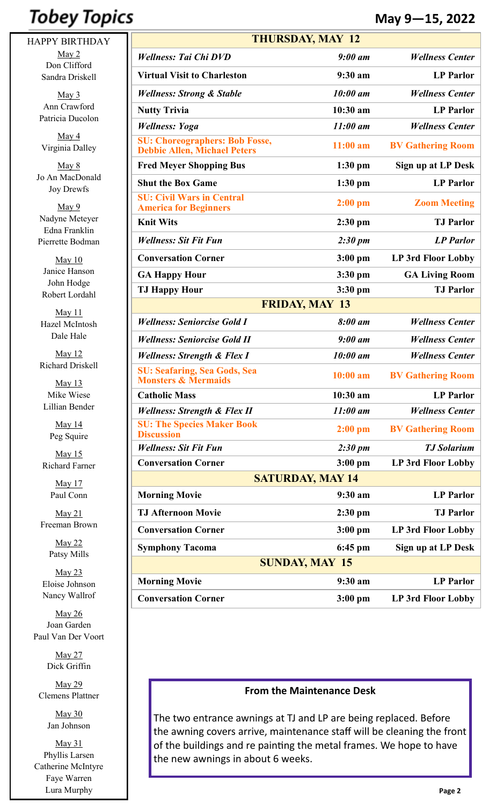# **Tobey Topics**

HAPPY BIRTHDAY May 2 Don Clifford Sandra Driskell

> May 3 Ann Crawford Patricia Ducolon

May 4 Virginia Dalley

May 8 Jo An MacDonald Joy Drewfs

May 9 Nadyne Meteyer Edna Franklin Pierrette Bodman

May 10 Janice Hanson John Hodge Robert Lordahl

May 11 Hazel McIntosh Dale Hale

May 12 Richard Driskell

May 13 Mike Wiese Lillian Bender

> May 14 Peg Squire

May 15 Richard Farner

> May 17 Paul Conn

May 21 Freeman Brown

> May 22 Patsy Mills

May 23 Eloise Johnson Nancy Wallrof

May 26 Joan Garden Paul Van Der Voort

> May 27 Dick Griffin

May 29 Clemens Plattner

> May 30 Jan Johnson

May 31 Phyllis Larsen Catherine McIntyre Faye Warren Lura Murphy

| <b>THURSDAY, MAY 12</b>                                                      |                   |                           |  |
|------------------------------------------------------------------------------|-------------------|---------------------------|--|
| <b>Wellness: Tai Chi DVD</b>                                                 | $9:00$ am         | <b>Wellness Center</b>    |  |
| <b>Virtual Visit to Charleston</b>                                           | 9:30 am           | <b>LP</b> Parlor          |  |
| <b>Wellness: Strong &amp; Stable</b>                                         | $10:00$ am        | <b>Wellness Center</b>    |  |
| <b>Nutty Trivia</b>                                                          | 10:30 am          | <b>LP</b> Parlor          |  |
| <b>Wellness: Yoga</b>                                                        | $11:00$ am        | <b>Wellness Center</b>    |  |
| <b>SU: Choreographers: Bob Fosse,</b><br><b>Debbie Allen, Michael Peters</b> | $11:00$ am        | <b>BV Gathering Room</b>  |  |
| <b>Fred Meyer Shopping Bus</b>                                               | $1:30$ pm         | Sign up at LP Desk        |  |
| <b>Shut the Box Game</b>                                                     | $1:30$ pm         | <b>LP</b> Parlor          |  |
| <b>SU: Civil Wars in Central</b><br><b>America for Beginners</b>             | $2:00$ pm         | <b>Zoom Meeting</b>       |  |
| <b>Knit Wits</b>                                                             | $2:30$ pm         | <b>TJ Parlor</b>          |  |
| <b>Wellness: Sit Fit Fun</b>                                                 | $2:30 \text{ pm}$ | <b>LP</b> Parlor          |  |
| <b>Conversation Corner</b>                                                   | $3:00$ pm         | LP 3rd Floor Lobby        |  |
| <b>GA Happy Hour</b>                                                         | $3:30$ pm         | <b>GA Living Room</b>     |  |
| <b>TJ Happy Hour</b>                                                         | $3:30$ pm         | <b>TJ</b> Parlor          |  |
| <b>FRIDAY, MAY 13</b>                                                        |                   |                           |  |
| <b>Wellness: Seniorcise Gold I</b>                                           | 8:00 am           | <b>Wellness Center</b>    |  |
| <b>Wellness: Seniorcise Gold II</b>                                          | $9:00$ am         | <b>Wellness Center</b>    |  |
| <b>Wellness: Strength &amp; Flex I</b>                                       | 10:00 am          | <b>Wellness Center</b>    |  |
| <b>SU: Seafaring, Sea Gods, Sea</b><br><b>Monsters &amp; Mermaids</b>        | $10:00$ am        | <b>BV Gathering Room</b>  |  |
| <b>Catholic Mass</b>                                                         | 10:30 am          | <b>LP</b> Parlor          |  |
| <b>Wellness: Strength &amp; Flex II</b>                                      | $11:00$ am        | <b>Wellness Center</b>    |  |
| <b>SU: The Species Maker Book</b><br><b>Discussion</b>                       | $2:00$ pm         | <b>BV Gathering Room</b>  |  |
| <b>Wellness: Sit Fit Fun</b>                                                 | $2:30 \text{ pm}$ | <b>TJ</b> Solarium        |  |
| <b>Conversation Corner</b>                                                   | $3:00$ pm         | <b>LP 3rd Floor Lobby</b> |  |
| <b>SATURDAY, MAY 14</b>                                                      |                   |                           |  |
| <b>Morning Movie</b>                                                         | 9:30 am           | <b>LP</b> Parlor          |  |
| <b>TJ Afternoon Movie</b>                                                    | $2:30$ pm         | <b>TJ</b> Parlor          |  |
| <b>Conversation Corner</b>                                                   | $3:00$ pm         | LP 3rd Floor Lobby        |  |
| <b>Symphony Tacoma</b>                                                       | $6:45$ pm         | Sign up at LP Desk        |  |
| <b>SUNDAY, MAY 15</b>                                                        |                   |                           |  |
| <b>Morning Movie</b>                                                         | 9:30 am           | <b>LP Parlor</b>          |  |
| <b>Conversation Corner</b>                                                   | $3:00$ pm         | LP 3rd Floor Lobby        |  |

#### **From the Maintenance Desk**

The two entrance awnings at TJ and LP are being replaced. Before the awning covers arrive, maintenance staff will be cleaning the front of the buildings and re painting the metal frames. We hope to have the new awnings in about 6 weeks.

## **May 9—15, 2022**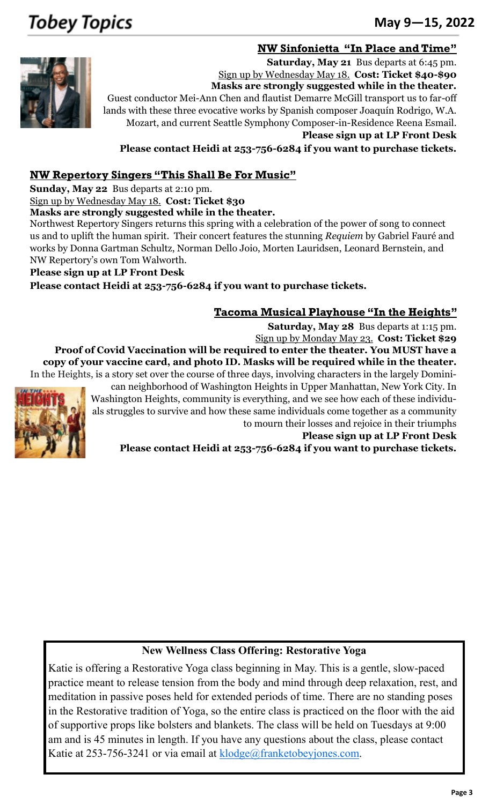# **Tobey Topics**

## June 18-24, 2012 <sup>253</sup>-752-<sup>6621</sup> **May 9—15, 2022**

## **NW Sinfonietta "In Place and Time"**



**Saturday, May 21** Bus departs at 6:45 pm. Sign up by Wednesday May 18. **Cost: Ticket \$40-\$90 Masks are strongly suggested while in the theater.** Guest conductor Mei-Ann Chen and flautist Demarre McGill transport us to far-off

lands with these three evocative works by Spanish composer Joaquín Rodrigo, W.A. Mozart, and current Seattle Symphony Composer-in-Residence Reena Esmail.

**Please sign up at LP Front Desk**

**Please contact Heidi at 253-756-6284 if you want to purchase tickets.**

## **NW Repertory Singers "This Shall Be For Music"**

**Sunday, May 22** Bus departs at 2:10 pm.

Sign up by Wednesday May 18. **Cost: Ticket \$30**

**Masks are strongly suggested while in the theater.**

Northwest Repertory Singers returns this spring with a celebration of the power of song to connect us and to uplift the human spirit. Their concert features the stunning *Requiem* by Gabriel Fauré and works by Donna Gartman Schultz, Norman Dello Joio, Morten Lauridsen, Leonard Bernstein, and NW Repertory's own Tom Walworth.

## **Please sign up at LP Front Desk**

**Please contact Heidi at 253-756-6284 if you want to purchase tickets.**

## **Tacoma Musical Playhouse "In the Heights"**

**Saturday, May 28** Bus departs at 1:15 pm. Sign up by Monday May 23. **Cost: Ticket \$29**

**Proof of Covid Vaccination will be required to enter the theater. You MUST have a copy of your vaccine card, and photo ID. Masks will be required while in the theater.** In the Heights, is a story set over the course of three days, involving characters in the largely [Domini-](https://en.wikipedia.org/wiki/Culture_of_the_Dominican_Republic)



[can](https://en.wikipedia.org/wiki/Culture_of_the_Dominican_Republic) neighborhood of [Washington Heights](https://en.wikipedia.org/wiki/Washington_Heights,_Manhattan) in Upper Manhattan, New York City. In Washington Heights, community is everything, and we see how each of these individuals struggles to survive and how these same individuals come together as a community to mourn their losses and rejoice in their triumphs

**Please sign up at LP Front Desk**

**Please contact Heidi at 253-756-6284 if you want to purchase tickets.**

## **New Wellness Class Offering: Restorative Yoga**

Katie is offering a Restorative Yoga class beginning in May. This is a gentle, slow-paced practice meant to release tension from the body and mind through deep relaxation, rest, and meditation in passive poses held for extended periods of time. There are no standing poses in the Restorative tradition of Yoga, so the entire class is practiced on the floor with the aid of supportive props like bolsters and blankets. The class will be held on Tuesdays at 9:00 am and is 45 minutes in length. If you have any questions about the class, please contact Katie at  $253-756-3241$  or via email at  $k\nlog_e(\mathcal{Q})$  franketobeyjones.com.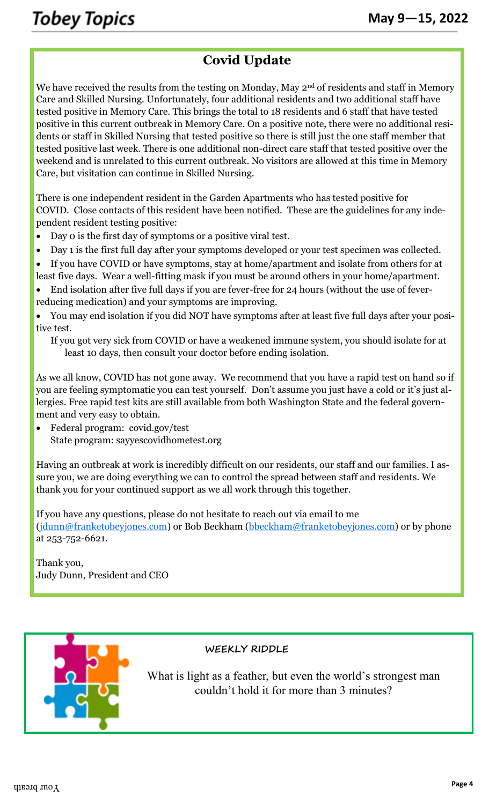## **Covid Update**

We have received the results from the testing on Monday, May 2<sup>nd</sup> of residents and staff in Memory Care and Skilled Nursing. Unfortunately, four additional residents and two additional staff have tested positive in Memory Care. This brings the total to 18 residents and 6 staff that have tested positive in this current outbreak in Memory Care. On a positive note, there were no additional residents or staff in Skilled Nursing that tested positive so there is still just the one staff member that tested positive last week. There is one additional non-direct care staff that tested positive over the weekend and is unrelated to this current outbreak. No visitors are allowed at this time in Memory Care, but visitation can continue in Skilled Nursing.

There is one independent resident in the Garden Apartments who has tested positive for COVID. Close contacts of this resident have been notified. These are the guidelines for any independent resident testing positive:

- Day 0 is the first day of symptoms or a positive viral test.
- Day 1 is the first full day after your symptoms developed or your test specimen was collected.
- If you have COVID or have symptoms, stay at home/apartment and isolate from others for at least five days. Wear a well-fitting mask if you must be around others in your home/apartment.
- End isolation after five full days if you are fever-free for 24 hours (without the use of feverreducing medication) and your symptoms are improving.

• You may end isolation if you did NOT have symptoms after at least five full days after your positive test.

If you got very sick from COVID or have a weakened immune system, you should isolate for at least 10 days, then consult your doctor before ending isolation.

As we all know, COVID has not gone away. We recommend that you have a rapid test on hand so if you are feeling symptomatic you can test yourself. Don't assume you just have a cold or it's just allergies. Free rapid test kits are still available from both Washington State and the federal government and very easy to obtain.

• Federal program: covid.gov/test State program: sayyescovidhometest.org

Having an outbreak at work is incredibly difficult on our residents, our staff and our families. I assure you, we are doing everything we can to control the spread between staff and residents. We thank you for your continued support as we all work through this together.

If you have any questions, please do not hesitate to reach out via email to me ([jdunn@franketobeyjones.com\)](mailto:jdunn@franketobeyjones.com) or Bob Beckham ([bbeckham@franketobeyjones.com\)](mailto:bbeckham@franketobeyjones.com) or by phone at 253-752-6621.

Thank you, Judy Dunn, President and CEO



## **WEEKLY RIDDLE**

What is light as a feather, but even the world's strongest man couldn't hold it for more than 3 minutes?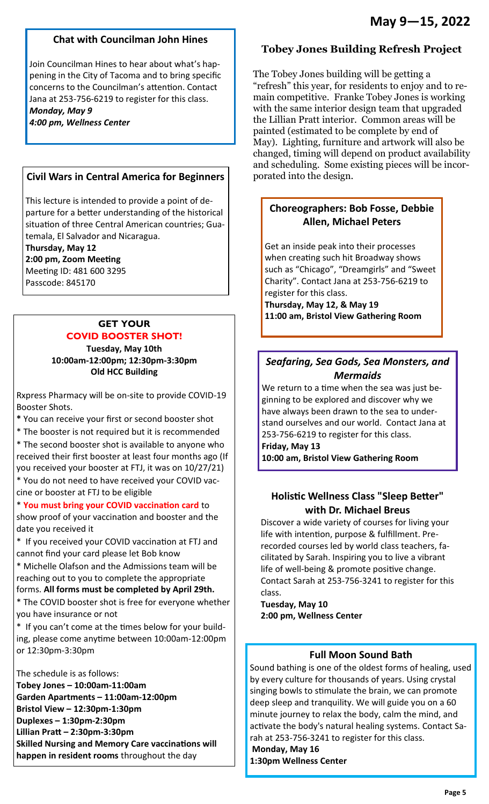#### **Chat with Councilman John Hines**

Join Councilman Hines to hear about what's happening in the City of Tacoma and to bring specific concerns to the Councilman's attention. Contact Jana at 253-756-6219 to register for this class. *Monday, May 9 4:00 pm, Wellness Center* 

#### **Civil Wars in Central America for Beginners**

This lecture is intended to provide a point of departure for a better understanding of the historical situation of three Central American countries; Guatemala, El Salvador and Nicaragua.

**Thursday, May 12 2:00 pm, Zoom Meeting** Meeting ID: 481 600 3295

Passcode: 845170

## **GET YOUR COVID BOOSTER SHOT!**

**Tuesday, May 10th 10:00am-12:00pm; 12:30pm-3:30pm Old HCC Building** 

Rxpress Pharmacy will be on-site to provide COVID-19 Booster Shots.

**\*** You can receive your first or second booster shot

\* The booster is not required but it is recommended

\* The second booster shot is available to anyone who received their first booster at least four months ago (If you received your booster at FTJ, it was on 10/27/21)

\* You do not need to have received your COVID vaccine or booster at FTJ to be eligible

\* **You must bring your COVID vaccination card** to show proof of your vaccination and booster and the date you received it

\* If you received your COVID vaccination at FTJ and cannot find your card please let Bob know

\* Michelle Olafson and the Admissions team will be reaching out to you to complete the appropriate

forms. **All forms must be completed by April 29th.**  \* The COVID booster shot is free for everyone whether you have insurance or not

\* If you can't come at the times below for your building, please come anytime between 10:00am-12:00pm or 12:30pm-3:30pm

The schedule is as follows:

**Tobey Jones – 10:00am-11:00am Garden Apartments – 11:00am-12:00pm Bristol View – 12:30pm-1:30pm Duplexes – 1:30pm-2:30pm Lillian Pratt – 2:30pm-3:30pm Skilled Nursing and Memory Care vaccinations will happen in resident rooms** throughout the day

## **Tobey Jones Building Refresh Project**

The Tobey Jones building will be getting a "refresh" this year, for residents to enjoy and to remain competitive. Franke Tobey Jones is working with the same interior design team that upgraded the Lillian Pratt interior. Common areas will be painted (estimated to be complete by end of May). Lighting, furniture and artwork will also be changed, timing will depend on product availability and scheduling. Some existing pieces will be incorporated into the design.

## **Choreographers: Bob Fosse, Debbie Allen, Michael Peters**

Get an inside peak into their processes when creating such hit Broadway shows such as "Chicago", "Dreamgirls" and "Sweet Charity". Contact Jana at 253-756-6219 to register for this class.

**Thursday, May 12, & May 19 11:00 am, Bristol View Gathering Room** 

## *Seafaring, Sea Gods, Sea Monsters, and Mermaids*

We return to a time when the sea was just beginning to be explored and discover why we have always been drawn to the sea to understand ourselves and our world. Contact Jana at 253-756-6219 to register for this class.

**Friday, May 13** 

**10:00 am, Bristol View Gathering Room** 

## **Holistic Wellness Class "Sleep Better" with Dr. Michael Breus**

Discover a wide variety of courses for living your life with intention, purpose & fulfillment. Prerecorded courses led by world class teachers, facilitated by Sarah. Inspiring you to live a vibrant life of well-being & promote positive change. Contact Sarah at 253-756-3241 to register for this class.

**Tuesday, May 10 2:00 pm, Wellness Center** 

## **Full Moon Sound Bath**

Sound bathing is one of the oldest forms of healing, used by every culture for thousands of years. Using crystal singing bowls to stimulate the brain, we can promote deep sleep and tranquility. We will guide you on a 60 minute journey to relax the body, calm the mind, and activate the body's natural healing systems. Contact Sarah at 253-756-3241 to register for this class.

**Monday, May 16 1:30pm Wellness Center**